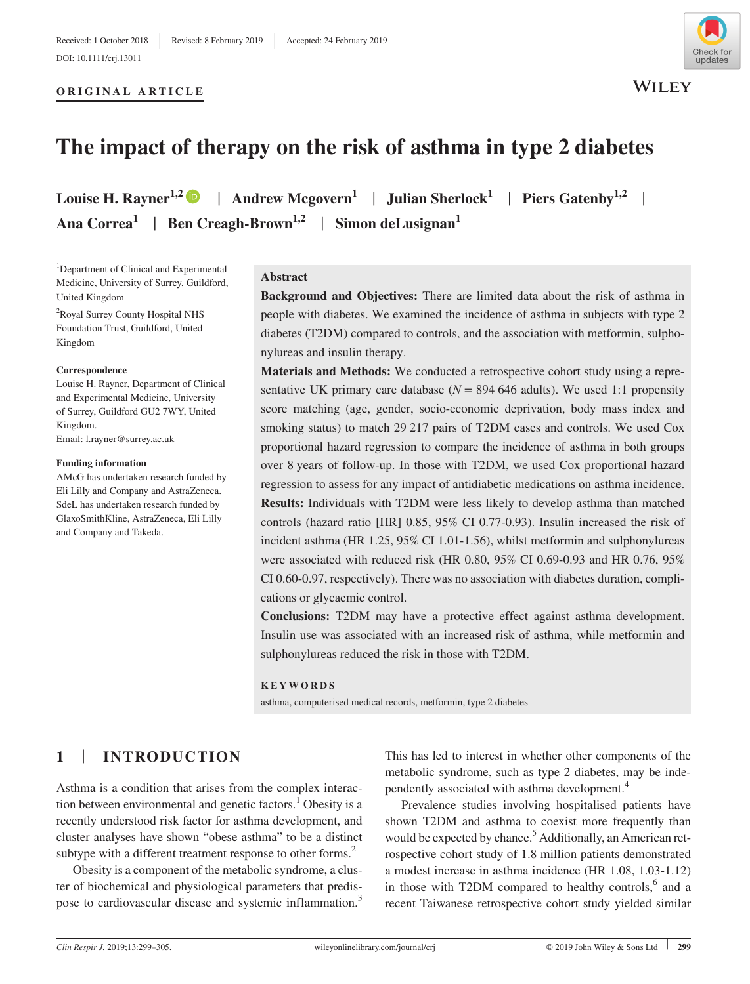**ORIGINAL ARTICLE**

**WILEY** 

# **The impact of therapy on the risk of asthma in type 2 diabetes**

**Louise H. Rayner**<sup>1,[2](https://orcid.org/0000-0002-0066-4750)</sup>  $\bullet$  | Andrew Mcgovern<sup>1</sup> | Julian Sherlock<sup>1</sup> | Piers Gatenby<sup>1,2</sup> | Ana Correa<sup>1</sup> | Ben Creagh-Brown<sup>1,2</sup> | Simon deLusignan<sup>1</sup>

<sup>1</sup>Department of Clinical and Experimental Medicine, University of Surrey, Guildford, United Kingdom

2 Royal Surrey County Hospital NHS Foundation Trust, Guildford, United Kingdom

#### **Correspondence**

Louise H. Rayner, Department of Clinical and Experimental Medicine, University of Surrey, Guildford GU2 7WY, United Kingdom. Email: [l.rayner@surrey.ac.uk](mailto:l.rayner@surrey.ac.uk)

**Funding information**

AMcG has undertaken research funded by Eli Lilly and Company and AstraZeneca. SdeL has undertaken research funded by GlaxoSmithKline, AstraZeneca, Eli Lilly and Company and Takeda.

### **Abstract**

**Background and Objectives:** There are limited data about the risk of asthma in people with diabetes. We examined the incidence of asthma in subjects with type 2 diabetes (T2DM) compared to controls, and the association with metformin, sulphonylureas and insulin therapy.

**Materials and Methods:** We conducted a retrospective cohort study using a representative UK primary care database  $(N = 894 646$  adults). We used 1:1 propensity score matching (age, gender, socio‐economic deprivation, body mass index and smoking status) to match 29 217 pairs of T2DM cases and controls. We used Cox proportional hazard regression to compare the incidence of asthma in both groups over 8 years of follow‐up. In those with T2DM, we used Cox proportional hazard regression to assess for any impact of antidiabetic medications on asthma incidence. **Results:** Individuals with T2DM were less likely to develop asthma than matched controls (hazard ratio [HR] 0.85, 95% CI 0.77‐0.93). Insulin increased the risk of incident asthma (HR 1.25, 95% CI 1.01‐1.56), whilst metformin and sulphonylureas were associated with reduced risk (HR 0.80, 95% CI 0.69‐0.93 and HR 0.76, 95% CI 0.60‐0.97, respectively). There was no association with diabetes duration, complications or glycaemic control.

**Conclusions:** T2DM may have a protective effect against asthma development. Insulin use was associated with an increased risk of asthma, while metformin and sulphonylureas reduced the risk in those with T2DM.

#### **KEYWORDS**

asthma, computerised medical records, metformin, type 2 diabetes

# **1** | **INTRODUCTION**

Asthma is a condition that arises from the complex interaction between environmental and genetic factors.<sup>1</sup> Obesity is a recently understood risk factor for asthma development, and cluster analyses have shown "obese asthma" to be a distinct subtype with a different treatment response to other forms.<sup>2</sup>

Obesity is a component of the metabolic syndrome, a cluster of biochemical and physiological parameters that predispose to cardiovascular disease and systemic inflammation.<sup>3</sup> This has led to interest in whether other components of the metabolic syndrome, such as type 2 diabetes, may be independently associated with asthma development.4

Prevalence studies involving hospitalised patients have shown T2DM and asthma to coexist more frequently than would be expected by chance.<sup>5</sup> Additionally, an American retrospective cohort study of 1.8 million patients demonstrated a modest increase in asthma incidence (HR 1.08, 1.03‐1.12) in those with T2DM compared to healthy controls, $6$  and a recent Taiwanese retrospective cohort study yielded similar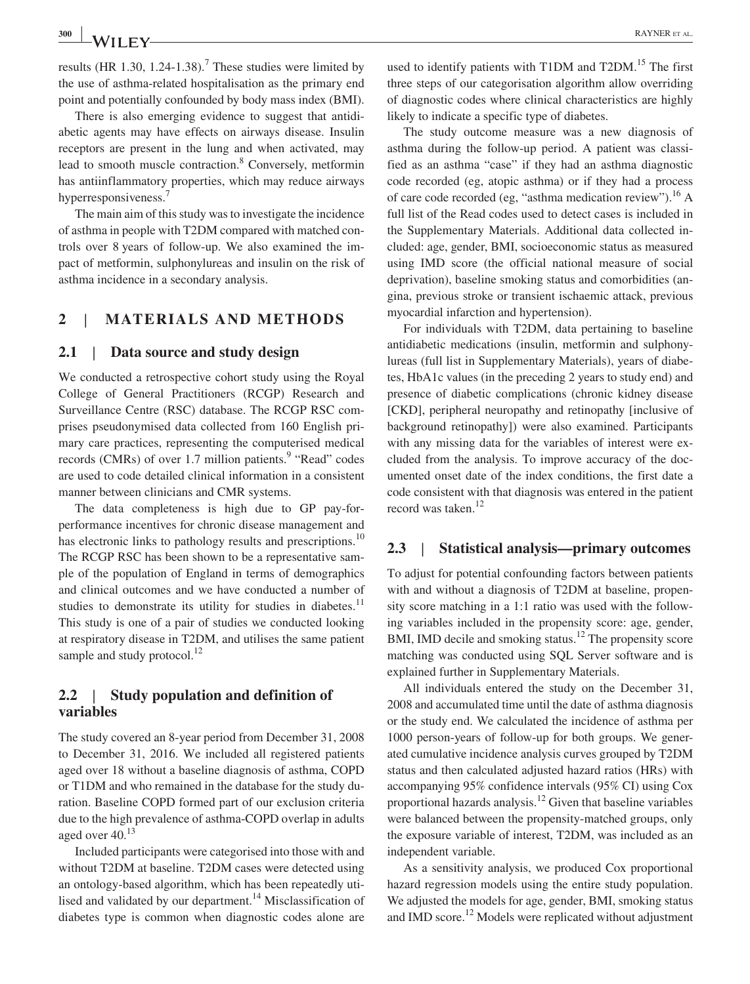**<sup>300</sup> <sup>|</sup>** RAYNER et al.

results (HR 1.30, 1.24-1.38).<sup>7</sup> These studies were limited by the use of asthma‐related hospitalisation as the primary end point and potentially confounded by body mass index (BMI).

There is also emerging evidence to suggest that antidiabetic agents may have effects on airways disease. Insulin receptors are present in the lung and when activated, may lead to smooth muscle contraction.<sup>8</sup> Conversely, metformin has antiinflammatory properties, which may reduce airways hyperresponsiveness.<sup>7</sup>

The main aim of this study was to investigate the incidence of asthma in people with T2DM compared with matched controls over 8 years of follow‐up. We also examined the impact of metformin, sulphonylureas and insulin on the risk of asthma incidence in a secondary analysis.

### **2** | **MATERIALS AND METHODS**

### **2.1** | **Data source and study design**

We conducted a retrospective cohort study using the Royal College of General Practitioners (RCGP) Research and Surveillance Centre (RSC) database. The RCGP RSC comprises pseudonymised data collected from 160 English primary care practices, representing the computerised medical records (CMRs) of over  $1.7$  million patients.<sup>9</sup> "Read" codes are used to code detailed clinical information in a consistent manner between clinicians and CMR systems.

The data completeness is high due to GP pay-forperformance incentives for chronic disease management and has electronic links to pathology results and prescriptions.<sup>10</sup> The RCGP RSC has been shown to be a representative sample of the population of England in terms of demographics and clinical outcomes and we have conducted a number of studies to demonstrate its utility for studies in diabetes.<sup>11</sup> This study is one of a pair of studies we conducted looking at respiratory disease in T2DM, and utilises the same patient sample and study protocol.<sup>12</sup>

### **2.2** | **Study population and definition of variables**

The study covered an 8‐year period from December 31, 2008 to December 31, 2016. We included all registered patients aged over 18 without a baseline diagnosis of asthma, COPD or T1DM and who remained in the database for the study duration. Baseline COPD formed part of our exclusion criteria due to the high prevalence of asthma‐COPD overlap in adults aged over  $40^{13}$ 

Included participants were categorised into those with and without T2DM at baseline. T2DM cases were detected using an ontology‐based algorithm, which has been repeatedly utilised and validated by our department.<sup>14</sup> Misclassification of diabetes type is common when diagnostic codes alone are used to identify patients with T1DM and T2DM.<sup>15</sup> The first three steps of our categorisation algorithm allow overriding of diagnostic codes where clinical characteristics are highly likely to indicate a specific type of diabetes.

The study outcome measure was a new diagnosis of asthma during the follow‐up period. A patient was classified as an asthma "case" if they had an asthma diagnostic code recorded (eg, atopic asthma) or if they had a process of care code recorded (eg, "asthma medication review").<sup>16</sup> A full list of the Read codes used to detect cases is included in the Supplementary Materials. Additional data collected included: age, gender, BMI, socioeconomic status as measured using IMD score (the official national measure of social deprivation), baseline smoking status and comorbidities (angina, previous stroke or transient ischaemic attack, previous myocardial infarction and hypertension).

For individuals with T2DM, data pertaining to baseline antidiabetic medications (insulin, metformin and sulphonylureas (full list in Supplementary Materials), years of diabetes, HbA1c values (in the preceding 2 years to study end) and presence of diabetic complications (chronic kidney disease [CKD], peripheral neuropathy and retinopathy [inclusive of background retinopathy]) were also examined. Participants with any missing data for the variables of interest were excluded from the analysis. To improve accuracy of the documented onset date of the index conditions, the first date a code consistent with that diagnosis was entered in the patient record was taken.<sup>12</sup>

### **2.3** | **Statistical analysis—primary outcomes**

To adjust for potential confounding factors between patients with and without a diagnosis of T2DM at baseline, propensity score matching in a 1:1 ratio was used with the following variables included in the propensity score: age, gender, BMI, IMD decile and smoking status.<sup>12</sup> The propensity score matching was conducted using SQL Server software and is explained further in Supplementary Materials.

All individuals entered the study on the December 31, 2008 and accumulated time until the date of asthma diagnosis or the study end. We calculated the incidence of asthma per 1000 person-years of follow-up for both groups. We generated cumulative incidence analysis curves grouped by T2DM status and then calculated adjusted hazard ratios (HRs) with accompanying 95% confidence intervals (95% CI) using Cox proportional hazards analysis.<sup>12</sup> Given that baseline variables were balanced between the propensity-matched groups, only the exposure variable of interest, T2DM, was included as an independent variable.

As a sensitivity analysis, we produced Cox proportional hazard regression models using the entire study population. We adjusted the models for age, gender, BMI, smoking status and IMD score.<sup>12</sup> Models were replicated without adjustment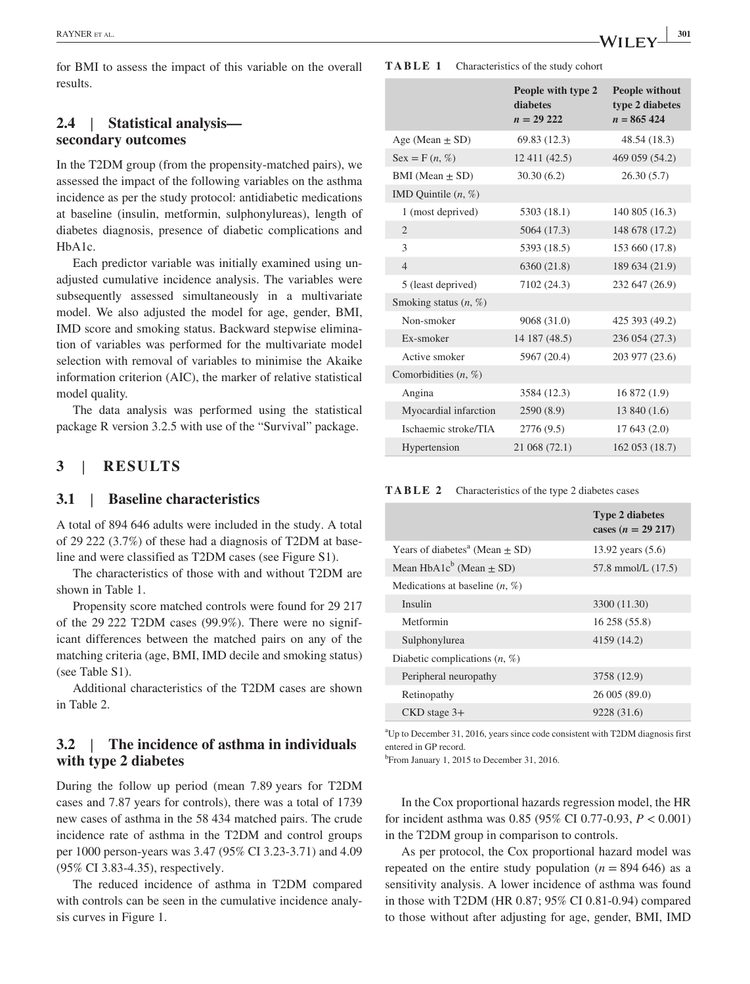for BMI to assess the impact of this variable on the overall results.

### **2.4** | **Statistical analysis secondary outcomes**

In the T2DM group (from the propensity-matched pairs), we assessed the impact of the following variables on the asthma incidence as per the study protocol: antidiabetic medications at baseline (insulin, metformin, sulphonylureas), length of diabetes diagnosis, presence of diabetic complications and HbA1c.

Each predictor variable was initially examined using unadjusted cumulative incidence analysis. The variables were subsequently assessed simultaneously in a multivariate model. We also adjusted the model for age, gender, BMI, IMD score and smoking status. Backward stepwise elimination of variables was performed for the multivariate model selection with removal of variables to minimise the Akaike information criterion (AIC), the marker of relative statistical model quality.

The data analysis was performed using the statistical package R version 3.2.5 with use of the "Survival" package.

## **3** | **RESULTS**

### **3.1** | **Baseline characteristics**

A total of 894 646 adults were included in the study. A total of 29 222 (3.7%) of these had a diagnosis of T2DM at baseline and were classified as T2DM cases (see Figure S1).

The characteristics of those with and without T2DM are shown in Table 1.

Propensity score matched controls were found for 29 217 of the 29 222 T2DM cases (99.9%). There were no significant differences between the matched pairs on any of the matching criteria (age, BMI, IMD decile and smoking status) (see Table S1).

Additional characteristics of the T2DM cases are shown in Table 2.

### **3.2** | **The incidence of asthma in individuals with type 2 diabetes**

During the follow up period (mean 7.89 years for T2DM cases and 7.87 years for controls), there was a total of 1739 new cases of asthma in the 58 434 matched pairs. The crude incidence rate of asthma in the T2DM and control groups per 1000 person‐years was 3.47 (95% CI 3.23‐3.71) and 4.09 (95% CI 3.83‐4.35), respectively.

The reduced incidence of asthma in T2DM compared with controls can be seen in the cumulative incidence analysis curves in Figure 1.

|                               | People with type 2<br>diabetes<br>$n = 29222$ | <b>People without</b><br>type 2 diabetes<br>$n = 865424$ |  |  |
|-------------------------------|-----------------------------------------------|----------------------------------------------------------|--|--|
| Age (Mean $\pm$ SD)           | 69.83 (12.3)                                  | 48.54 (18.3)                                             |  |  |
| $\text{Sex} = \text{F}(n, %)$ | 12 411 (42.5)                                 | 469 059 (54.2)                                           |  |  |
| BMI (Mean $\pm$ SD)           | 30.30 (6.2)                                   | 26.30(5.7)                                               |  |  |
| IMD Quintile $(n, %)$         |                                               |                                                          |  |  |
| 1 (most deprived)             | 5303 (18.1)                                   | 140 805 (16.3)                                           |  |  |
| 2                             | 5064 (17.3)                                   | 148 678 (17.2)                                           |  |  |
| 3                             | 5393 (18.5)                                   | 153 660 (17.8)                                           |  |  |
| $\overline{4}$                | 6360 (21.8)                                   | 189 634 (21.9)                                           |  |  |
| 5 (least deprived)            | 7102 (24.3)                                   | 232 647 (26.9)                                           |  |  |
| Smoking status $(n, \%)$      |                                               |                                                          |  |  |
| Non-smoker                    | 9068 (31.0)                                   | 425 393 (49.2)                                           |  |  |
| Ex-smoker                     | 14 187 (48.5)                                 | 236 054 (27.3)                                           |  |  |
| Active smoker                 | 5967 (20.4)                                   | 203 977 (23.6)                                           |  |  |
| Comorbidities $(n, %)$        |                                               |                                                          |  |  |
| Angina                        | 3584 (12.3)                                   | 16 872 (1.9)                                             |  |  |
| Myocardial infarction         | 2590 (8.9)                                    | 13 840 (1.6)                                             |  |  |
| Ischaemic stroke/TIA          | 2776 (9.5)                                    | 17643(2.0)                                               |  |  |
| Hypertension                  | 21 068 (72.1)                                 | 162 053 (18.7)                                           |  |  |

**TABLE 2** Characteristics of the type 2 diabetes cases

| <b>Type 2 diabetes</b><br>cases $(n = 29 217)$ |  |  |  |
|------------------------------------------------|--|--|--|
| 13.92 years $(5.6)$                            |  |  |  |
| 57.8 mmol/L (17.5)                             |  |  |  |
| Medications at baseline $(n, %)$               |  |  |  |
| 3300 (11.30)                                   |  |  |  |
| 16 258 (55.8)                                  |  |  |  |
| 4159 (14.2)                                    |  |  |  |
| Diabetic complications $(n, %)$                |  |  |  |
| 3758 (12.9)                                    |  |  |  |
| 26 005 (89.0)                                  |  |  |  |
| 9228 (31.6)                                    |  |  |  |
|                                                |  |  |  |

a Up to December 31, 2016, years since code consistent with T2DM diagnosis first entered in GP record.

<sup>b</sup> From January 1, 2015 to December 31, 2016.

In the Cox proportional hazards regression model, the HR for incident asthma was 0.85 (95% CI 0.77‐0.93, *P* < 0.001) in the T2DM group in comparison to controls.

As per protocol, the Cox proportional hazard model was repeated on the entire study population  $(n = 894\,646)$  as a sensitivity analysis. A lower incidence of asthma was found in those with T2DM (HR 0.87; 95% CI 0.81‐0.94) compared to those without after adjusting for age, gender, BMI, IMD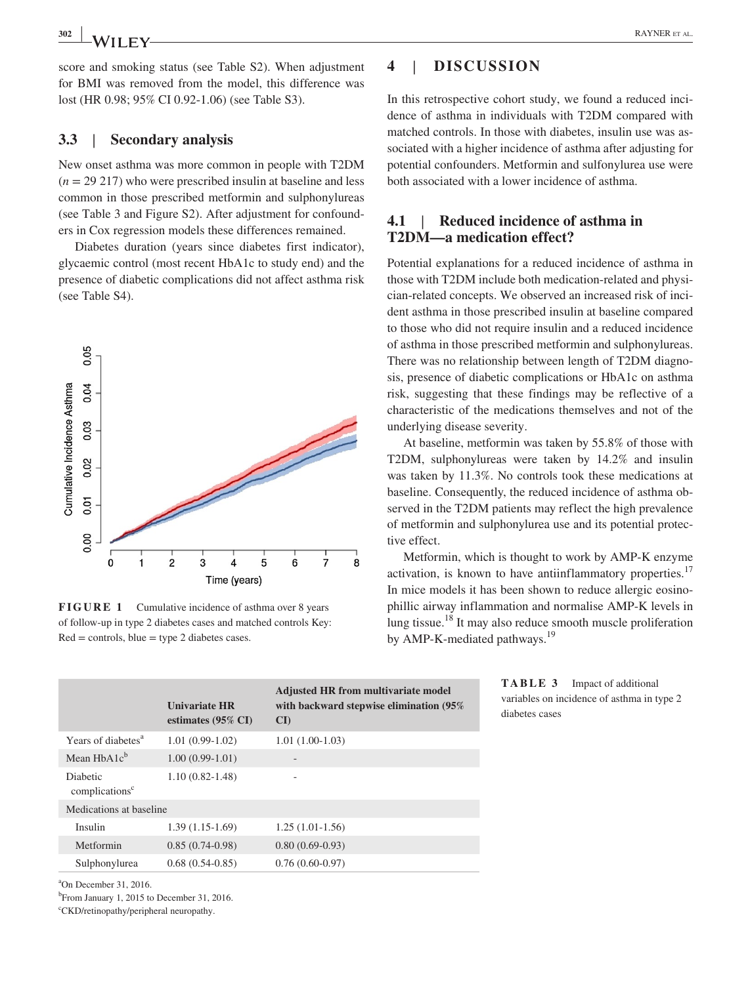score and smoking status (see Table S2). When adjustment for BMI was removed from the model, this difference was lost (HR 0.98; 95% CI 0.92‐1.06) (see Table S3).

### **3.3** | **Secondary analysis**

New onset asthma was more common in people with T2DM (*n* = 29 217) who were prescribed insulin at baseline and less common in those prescribed metformin and sulphonylureas (see Table 3 and Figure S2). After adjustment for confounders in Cox regression models these differences remained.

Diabetes duration (years since diabetes first indicator), glycaemic control (most recent HbA1c to study end) and the presence of diabetic complications did not affect asthma risk (see Table S4).



**FIGURE 1** Cumulative incidence of asthma over 8 years of follow‐up in type 2 diabetes cases and matched controls Key:  $Red = controls, blue = type 2 diabetes cases.$ 

# **4** | **DISCUSSION**

In this retrospective cohort study, we found a reduced incidence of asthma in individuals with T2DM compared with matched controls. In those with diabetes, insulin use was associated with a higher incidence of asthma after adjusting for potential confounders. Metformin and sulfonylurea use were both associated with a lower incidence of asthma.

### **4.1** | **Reduced incidence of asthma in T2DM—a medication effect?**

Potential explanations for a reduced incidence of asthma in those with T2DM include both medication‐related and physician‐related concepts. We observed an increased risk of incident asthma in those prescribed insulin at baseline compared to those who did not require insulin and a reduced incidence of asthma in those prescribed metformin and sulphonylureas. There was no relationship between length of T2DM diagnosis, presence of diabetic complications or HbA1c on asthma risk, suggesting that these findings may be reflective of a characteristic of the medications themselves and not of the underlying disease severity.

At baseline, metformin was taken by 55.8% of those with T2DM, sulphonylureas were taken by 14.2% and insulin was taken by 11.3%. No controls took these medications at baseline. Consequently, the reduced incidence of asthma observed in the T2DM patients may reflect the high prevalence of metformin and sulphonylurea use and its potential protective effect.

Metformin, which is thought to work by AMP‐K enzyme activation, is known to have antiinflammatory properties.<sup>17</sup> In mice models it has been shown to reduce allergic eosinophillic airway inflammation and normalise AMP‐K levels in lung tissue.18 It may also reduce smooth muscle proliferation by AMP-K-mediated pathways.<sup>19</sup>

|                                               | <b>Univariate HR</b><br>estimates $(95\% \text{ CI})$ | <b>Adjusted HR from multivariate model</b><br>with backward stepwise elimination (95%)<br>$\mathbf{C}$ |  |  |
|-----------------------------------------------|-------------------------------------------------------|--------------------------------------------------------------------------------------------------------|--|--|
| Years of diabetes <sup>a</sup>                | $1.01(0.99-1.02)$                                     | $1.01(1.00-1.03)$                                                                                      |  |  |
| Mean $HbA1c^b$                                | $1.00(0.99-1.01)$                                     | -                                                                                                      |  |  |
| <b>Diabetic</b><br>complications <sup>c</sup> | $1.10(0.82 - 1.48)$                                   | ۰                                                                                                      |  |  |
| Medications at baseline                       |                                                       |                                                                                                        |  |  |
| Insulin                                       | $1.39(1.15-1.69)$                                     | $1.25(1.01-1.56)$                                                                                      |  |  |
| Metformin                                     | $0.85(0.74-0.98)$                                     | $0.80(0.69-0.93)$                                                                                      |  |  |
| Sulphonylurea                                 | $0.68(0.54-0.85)$                                     | $0.76(0.60-0.97)$                                                                                      |  |  |

**TABLE 3** Impact of additional variables on incidence of asthma in type 2 diabetes cases

a On December 31, 2016.

b From January 1, 2015 to December 31, 2016.

c CKD/retinopathy/peripheral neuropathy.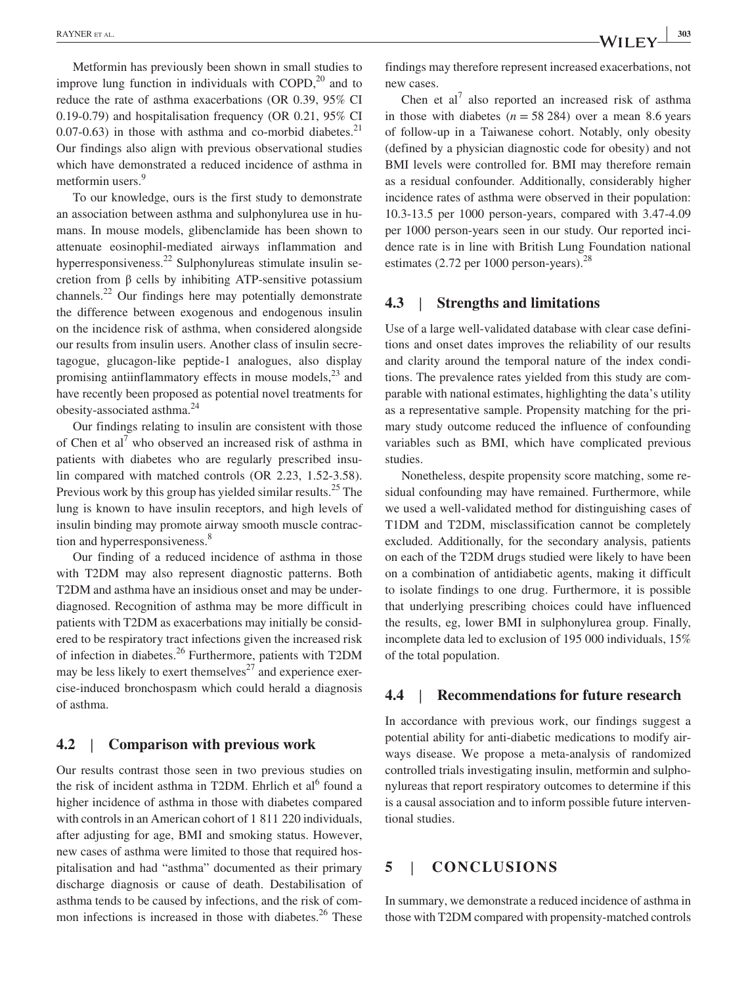Metformin has previously been shown in small studies to improve lung function in individuals with COPD, $^{20}$  and to reduce the rate of asthma exacerbations (OR 0.39, 95% CI 0.19‐0.79) and hospitalisation frequency (OR 0.21, 95% CI 0.07-0.63) in those with asthma and co-morbid diabetes. $^{21}$ Our findings also align with previous observational studies which have demonstrated a reduced incidence of asthma in metformin users.<sup>9</sup>

To our knowledge, ours is the first study to demonstrate an association between asthma and sulphonylurea use in humans. In mouse models, glibenclamide has been shown to attenuate eosinophil‐mediated airways inflammation and hyperresponsiveness.<sup>22</sup> Sulphonylureas stimulate insulin secretion from β cells by inhibiting ATP‐sensitive potassium channels.22 Our findings here may potentially demonstrate the difference between exogenous and endogenous insulin on the incidence risk of asthma, when considered alongside our results from insulin users. Another class of insulin secretagogue, glucagon‐like peptide‐1 analogues, also display promising antiinflammatory effects in mouse models, $^{23}$  and have recently been proposed as potential novel treatments for obesity‐associated asthma.<sup>24</sup>

Our findings relating to insulin are consistent with those of Chen et  $al^7$  who observed an increased risk of asthma in patients with diabetes who are regularly prescribed insulin compared with matched controls (OR 2.23, 1.52‐3.58). Previous work by this group has yielded similar results.<sup>25</sup> The lung is known to have insulin receptors, and high levels of insulin binding may promote airway smooth muscle contraction and hyperresponsiveness.<sup>8</sup>

Our finding of a reduced incidence of asthma in those with T2DM may also represent diagnostic patterns. Both T2DM and asthma have an insidious onset and may be under‐ diagnosed. Recognition of asthma may be more difficult in patients with T2DM as exacerbations may initially be considered to be respiratory tract infections given the increased risk of infection in diabetes.<sup>26</sup> Furthermore, patients with T2DM may be less likely to exert themselves<sup>27</sup> and experience exercise‐induced bronchospasm which could herald a diagnosis of asthma.

### **4.2** | **Comparison with previous work**

Our results contrast those seen in two previous studies on the risk of incident asthma in T2DM. Ehrlich et  $al<sup>6</sup>$  found a higher incidence of asthma in those with diabetes compared with controls in an American cohort of 1 811 220 individuals, after adjusting for age, BMI and smoking status. However, new cases of asthma were limited to those that required hospitalisation and had "asthma" documented as their primary discharge diagnosis or cause of death. Destabilisation of asthma tends to be caused by infections, and the risk of common infections is increased in those with diabetes. $26$  These

findings may therefore represent increased exacerbations, not new cases.

Chen et al<sup>7</sup> also reported an increased risk of asthma in those with diabetes  $(n = 58 284)$  over a mean 8.6 years of follow‐up in a Taiwanese cohort. Notably, only obesity (defined by a physician diagnostic code for obesity) and not BMI levels were controlled for. BMI may therefore remain as a residual confounder. Additionally, considerably higher incidence rates of asthma were observed in their population: 10.3‐13.5 per 1000 person‐years, compared with 3.47‐4.09 per 1000 person‐years seen in our study. Our reported incidence rate is in line with British Lung Foundation national estimates (2.72 per 1000 person-years).<sup>28</sup>

### **4.3** | **Strengths and limitations**

Use of a large well-validated database with clear case definitions and onset dates improves the reliability of our results and clarity around the temporal nature of the index conditions. The prevalence rates yielded from this study are comparable with national estimates, highlighting the data's utility as a representative sample. Propensity matching for the primary study outcome reduced the influence of confounding variables such as BMI, which have complicated previous studies.

Nonetheless, despite propensity score matching, some residual confounding may have remained. Furthermore, while we used a well‐validated method for distinguishing cases of T1DM and T2DM, misclassification cannot be completely excluded. Additionally, for the secondary analysis, patients on each of the T2DM drugs studied were likely to have been on a combination of antidiabetic agents, making it difficult to isolate findings to one drug. Furthermore, it is possible that underlying prescribing choices could have influenced the results, eg, lower BMI in sulphonylurea group. Finally, incomplete data led to exclusion of 195 000 individuals, 15% of the total population.

### **4.4** | **Recommendations for future research**

In accordance with previous work, our findings suggest a potential ability for anti‐diabetic medications to modify airways disease. We propose a meta‐analysis of randomized controlled trials investigating insulin, metformin and sulphonylureas that report respiratory outcomes to determine if this is a causal association and to inform possible future interventional studies.

### **5** | **CONCLUSIONS**

In summary, we demonstrate a reduced incidence of asthma in those with T2DM compared with propensity‐matched controls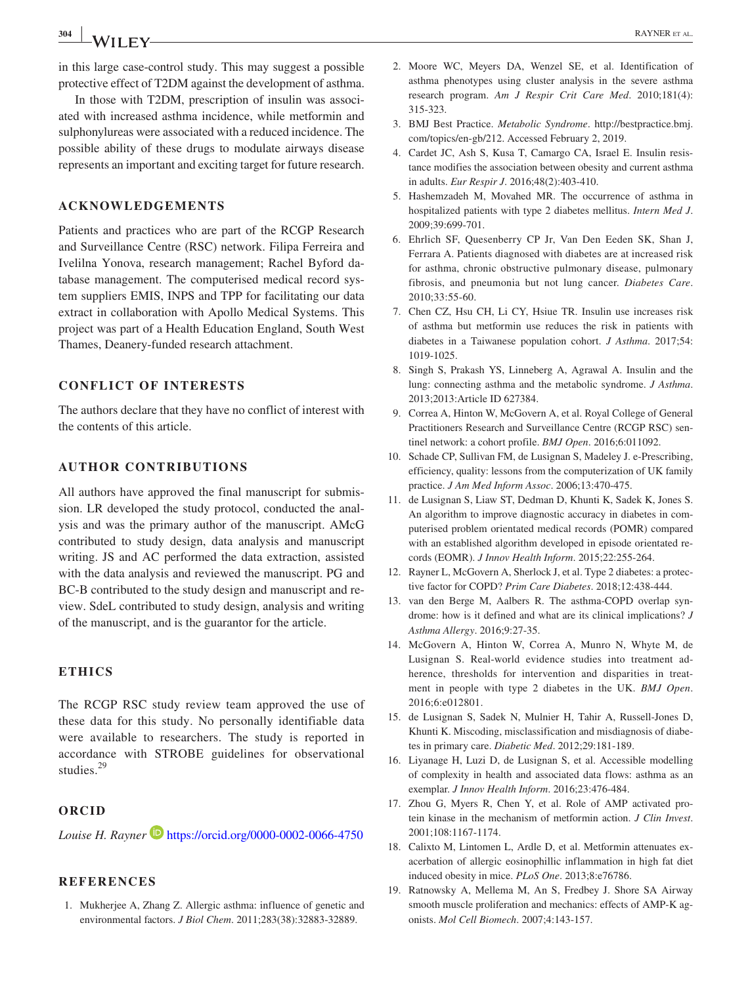**<sup>304</sup> <sup>|</sup>** RAYNER et al.

in this large case‐control study. This may suggest a possible protective effect of T2DM against the development of asthma.

In those with T2DM, prescription of insulin was associated with increased asthma incidence, while metformin and sulphonylureas were associated with a reduced incidence. The possible ability of these drugs to modulate airways disease represents an important and exciting target for future research.

#### **ACKNOWLEDGEMENTS**

Patients and practices who are part of the RCGP Research and Surveillance Centre (RSC) network. Filipa Ferreira and Ivelilna Yonova, research management; Rachel Byford database management. The computerised medical record system suppliers EMIS, INPS and TPP for facilitating our data extract in collaboration with Apollo Medical Systems. This project was part of a Health Education England, South West Thames, Deanery‐funded research attachment.

### **CONFLICT OF INTERESTS**

The authors declare that they have no conflict of interest with the contents of this article.

### **AUTHOR CONTRIBUTIONS**

All authors have approved the final manuscript for submission. LR developed the study protocol, conducted the analysis and was the primary author of the manuscript. AMcG contributed to study design, data analysis and manuscript writing. JS and AC performed the data extraction, assisted with the data analysis and reviewed the manuscript. PG and BC‐B contributed to the study design and manuscript and review. SdeL contributed to study design, analysis and writing of the manuscript, and is the guarantor for the article.

#### **ETHICS**

The RCGP RSC study review team approved the use of these data for this study. No personally identifiable data were available to researchers. The study is reported in accordance with STROBE guidelines for observational studies.<sup>29</sup>

### **ORCID**

*Louise H. Rayner* **b** <https://orcid.org/0000-0002-0066-4750>

### **REFERENCES**

1. Mukherjee A, Zhang Z. Allergic asthma: influence of genetic and environmental factors. *J Biol Chem*. 2011;283(38):32883‐32889.

- 2. Moore WC, Meyers DA, Wenzel SE, et al. Identification of asthma phenotypes using cluster analysis in the severe asthma research program. *Am J Respir Crit Care Med*. 2010;181(4): 315‐323.
- 3. BMJ Best Practice. *Metabolic Syndrome*. [http://bestpractice.bmj.](http://bestpractice.bmj.com/topics/en-gb/212) [com/topics/en-gb/212.](http://bestpractice.bmj.com/topics/en-gb/212) Accessed February 2, 2019.
- 4. Cardet JC, Ash S, Kusa T, Camargo CA, Israel E. Insulin resistance modifies the association between obesity and current asthma in adults. *Eur Respir J*. 2016;48(2):403‐410.
- 5. Hashemzadeh M, Movahed MR. The occurrence of asthma in hospitalized patients with type 2 diabetes mellitus. *Intern Med J*. 2009;39:699‐701.
- 6. Ehrlich SF, Quesenberry CP Jr, Van Den Eeden SK, Shan J, Ferrara A. Patients diagnosed with diabetes are at increased risk for asthma, chronic obstructive pulmonary disease, pulmonary fibrosis, and pneumonia but not lung cancer. *Diabetes Care*. 2010;33:55‐60.
- 7. Chen CZ, Hsu CH, Li CY, Hsiue TR. Insulin use increases risk of asthma but metformin use reduces the risk in patients with diabetes in a Taiwanese population cohort. *J Asthma*. 2017;54: 1019‐1025.
- 8. Singh S, Prakash YS, Linneberg A, Agrawal A. Insulin and the lung: connecting asthma and the metabolic syndrome. *J Asthma*. 2013;2013:Article ID 627384.
- 9. Correa A, Hinton W, McGovern A, et al. Royal College of General Practitioners Research and Surveillance Centre (RCGP RSC) sentinel network: a cohort profile. *BMJ Open*. 2016;6:011092.
- 10. Schade CP, Sullivan FM, de Lusignan S, Madeley J. e-Prescribing, efficiency, quality: lessons from the computerization of UK family practice. *J Am Med Inform Assoc*. 2006;13:470‐475.
- 11. de Lusignan S, Liaw ST, Dedman D, Khunti K, Sadek K, Jones S. An algorithm to improve diagnostic accuracy in diabetes in computerised problem orientated medical records (POMR) compared with an established algorithm developed in episode orientated records (EOMR). *J Innov Health Inform*. 2015;22:255‐264.
- 12. Rayner L, McGovern A, Sherlock J, et al. Type 2 diabetes: a protective factor for COPD? *Prim Care Diabetes*. 2018;12:438‐444.
- 13. van den Berge M, Aalbers R. The asthma‐COPD overlap syndrome: how is it defined and what are its clinical implications? *J Asthma Allergy*. 2016;9:27‐35.
- 14. McGovern A, Hinton W, Correa A, Munro N, Whyte M, de Lusignan S. Real‐world evidence studies into treatment adherence, thresholds for intervention and disparities in treatment in people with type 2 diabetes in the UK. *BMJ Open*. 2016;6:e012801.
- 15. de Lusignan S, Sadek N, Mulnier H, Tahir A, Russell‐Jones D, Khunti K. Miscoding, misclassification and misdiagnosis of diabetes in primary care. *Diabetic Med*. 2012;29:181‐189.
- 16. Liyanage H, Luzi D, de Lusignan S, et al. Accessible modelling of complexity in health and associated data flows: asthma as an exemplar. *J Innov Health Inform*. 2016;23:476‐484.
- 17. Zhou G, Myers R, Chen Y, et al. Role of AMP activated protein kinase in the mechanism of metformin action. *J Clin Invest*. 2001;108:1167‐1174.
- 18. Calixto M, Lintomen L, Ardle D, et al. Metformin attenuates exacerbation of allergic eosinophillic inflammation in high fat diet induced obesity in mice. *PLoS One*. 2013;8:e76786.
- 19. Ratnowsky A, Mellema M, An S, Fredbey J. Shore SA Airway smooth muscle proliferation and mechanics: effects of AMP-K agonists. *Mol Cell Biomech*. 2007;4:143‐157.